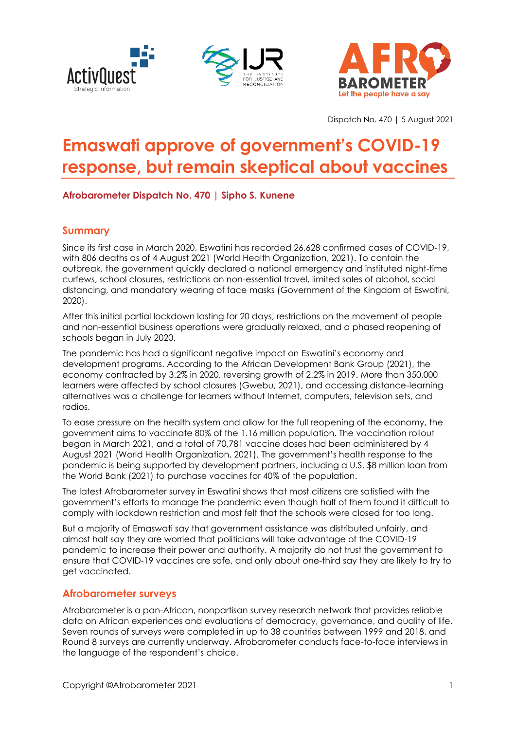





Dispatch No. 470 | 5 August 2021

# **Emaswati approve of government's COVID-19 response, but remain skeptical about vaccines**

**Afrobarometer Dispatch No. 470 | Sipho S. Kunene**

## **Summary**

Since its first case in March 2020, Eswatini has recorded 26,628 confirmed cases of COVID-19, with 806 deaths as of 4 August 2021 (World Health Organization, 2021). To contain the outbreak, the government quickly declared a national emergency and instituted night-time curfews, school closures, restrictions on non-essential travel, limited sales of alcohol, social distancing, and mandatory wearing of face masks (Government of the Kingdom of Eswatini, 2020).

After this initial partial lockdown lasting for 20 days, restrictions on the movement of people and non-essential business operations were gradually relaxed, and a phased reopening of schools began in July 2020.

The pandemic has had a significant negative impact on Eswatini's economy and development programs. According to the African Development Bank Group (2021), the economy contracted by 3.2% in 2020, reversing growth of 2.2% in 2019. More than 350,000 learners were affected by school closures (Gwebu, 2021), and accessing distance-learning alternatives was a challenge for learners without Internet, computers, television sets, and radios.

To ease pressure on the health system and allow for the full reopening of the economy, the government aims to vaccinate 80% of the 1.16 million population. The vaccination rollout began in March 2021, and a total of 70,781 vaccine doses had been administered by 4 August 2021 (World Health Organization, 2021). The government's health response to the pandemic is being supported by development partners, including a U.S. \$8 million loan from the World Bank (2021) to purchase vaccines for 40% of the population.

The latest Afrobarometer survey in Eswatini shows that most citizens are satisfied with the government's efforts to manage the pandemic even though half of them found it difficult to comply with lockdown restriction and most felt that the schools were closed for too long.

But a majority of Emaswati say that government assistance was distributed unfairly, and almost half say they are worried that politicians will take advantage of the COVID-19 pandemic to increase their power and authority. A majority do not trust the government to ensure that COVID-19 vaccines are safe, and only about one-third say they are likely to try to get vaccinated.

## **Afrobarometer surveys**

Afrobarometer is a pan-African, nonpartisan survey research network that provides reliable data on African experiences and evaluations of democracy, governance, and quality of life. Seven rounds of surveys were completed in up to 38 countries between 1999 and 2018, and Round 8 surveys are currently underway. Afrobarometer conducts face-to-face interviews in the language of the respondent's choice.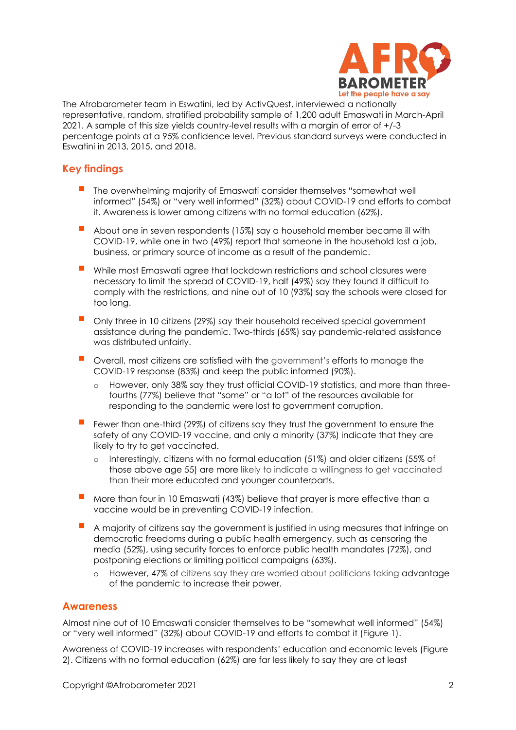

The Afrobarometer team in Eswatini, led by ActivQuest, interviewed a nationally representative, random, stratified probability sample of 1,200 adult Emaswati in March-April 2021. A sample of this size yields country-level results with a margin of error of +/-3 percentage points at a 95% confidence level. Previous standard surveys were conducted in Eswatini in 2013, 2015, and 2018.

## **Key findings**

- The overwhelming majority of Emaswati consider themselves "somewhat well informed" (54%) or "very well informed" (32%) about COVID-19 and efforts to combat it. Awareness is lower among citizens with no formal education (62%).
- About one in seven respondents (15%) say a household member became ill with COVID-19, while one in two (49%) report that someone in the household lost a job, business, or primary source of income as a result of the pandemic.
- While most Emaswati agree that lockdown restrictions and school closures were necessary to limit the spread of COVID-19, half (49%) say they found it difficult to comply with the restrictions, and nine out of 10 (93%) say the schools were closed for too long.
- Only three in 10 citizens (29%) say their household received special government assistance during the pandemic. Two-thirds (65%) say pandemic-related assistance was distributed unfairly.
- Overall, most citizens are satisfied with the government's efforts to manage the COVID-19 response (83%) and keep the public informed (90%).
	- o However, only 38% say they trust official COVID-19 statistics, and more than threefourths (77%) believe that "some" or "a lot" of the resources available for responding to the pandemic were lost to government corruption.
- Fewer than one-third (29%) of citizens say they trust the government to ensure the safety of any COVID-19 vaccine, and only a minority (37%) indicate that they are likely to try to get vaccinated.
	- o Interestingly, citizens with no formal education (51%) and older citizens (55% of those above age 55) are more likely to indicate a willingness to get vaccinated than their more educated and younger counterparts.
- More than four in 10 Emaswati (43%) believe that prayer is more effective than a vaccine would be in preventing COVID-19 infection.
- A majority of citizens say the government is justified in using measures that infringe on democratic freedoms during a public health emergency, such as censoring the media (52%), using security forces to enforce public health mandates (72%), and postponing elections or limiting political campaigns (63%).
	- o However, 47% of citizens say they are worried about politicians taking advantage of the pandemic to increase their power.

## **Awareness**

Almost nine out of 10 Emaswati consider themselves to be "somewhat well informed" (54%) or "very well informed" (32%) about COVID-19 and efforts to combat it (Figure 1).

Awareness of COVID-19 increases with respondents' education and economic levels (Figure 2). Citizens with no formal education (62%) are far less likely to say they are at least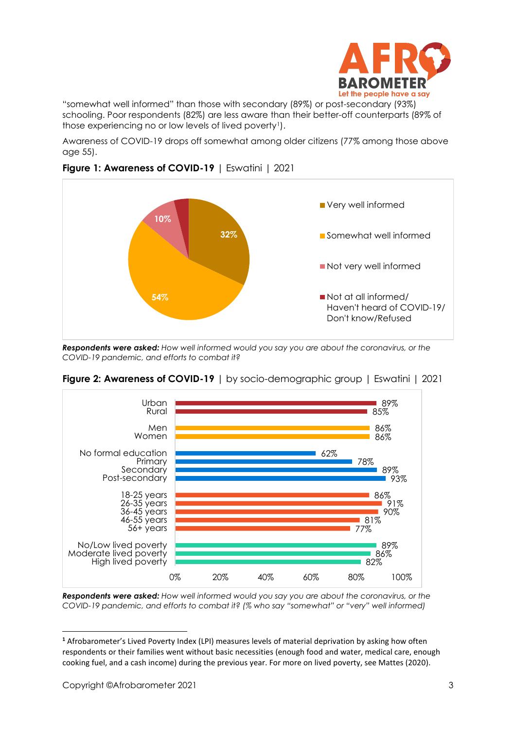

"somewhat well informed" than those with secondary (89%) or post-secondary (93%) schooling. Poor respondents (82%) are less aware than their better-off counterparts (89% of those experiencing no or low levels of lived poverty<sup>1</sup>).

Awareness of COVID-19 drops off somewhat among older citizens (77% among those above age 55).



## **Figure 1: Awareness of COVID-19** | Eswatini | 2021

*Respondents were asked: How well informed would you say you are about the coronavirus, or the COVID-19 pandemic, and efforts to combat it?*



**Figure 2: Awareness of COVID-19** | by socio-demographic group | Eswatini | 2021

*Respondents were asked: How well informed would you say you are about the coronavirus, or the COVID-19 pandemic, and efforts to combat it? (% who say "somewhat" or "very" well informed)*

**<sup>1</sup>** Afrobarometer's Lived Poverty Index (LPI) measures levels of material deprivation by asking how often respondents or their families went without basic necessities (enough food and water, medical care, enough cooking fuel, and a cash income) during the previous year. For more on lived poverty, see Mattes (2020).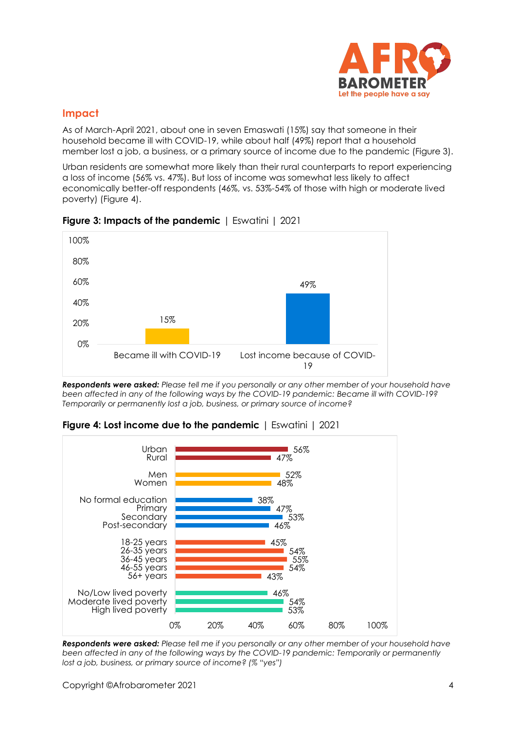

## **Impact**

As of March-April 2021, about one in seven Emaswati (15%) say that someone in their household became ill with COVID-19, while about half (49%) report that a household member lost a job, a business, or a primary source of income due to the pandemic (Figure 3).

Urban residents are somewhat more likely than their rural counterparts to report experiencing a loss of income (56% vs. 47%). But loss of income was somewhat less likely to affect economically better-off respondents (46%, vs. 53%-54% of those with high or moderate lived poverty) (Figure 4).



**Figure 3: Impacts of the pandemic** | Eswatini | 2021

*Respondents were asked: Please tell me if you personally or any other member of your household have been affected in any of the following ways by the COVID-19 pandemic: Became ill with COVID-19? Temporarily or permanently lost a job, business, or primary source of income?*



**Figure 4: Lost income due to the pandemic** | Eswatini | 2021

*Respondents were asked: Please tell me if you personally or any other member of your household have been affected in any of the following ways by the COVID-19 pandemic: Temporarily or permanently lost a job, business, or primary source of income? (% "yes")*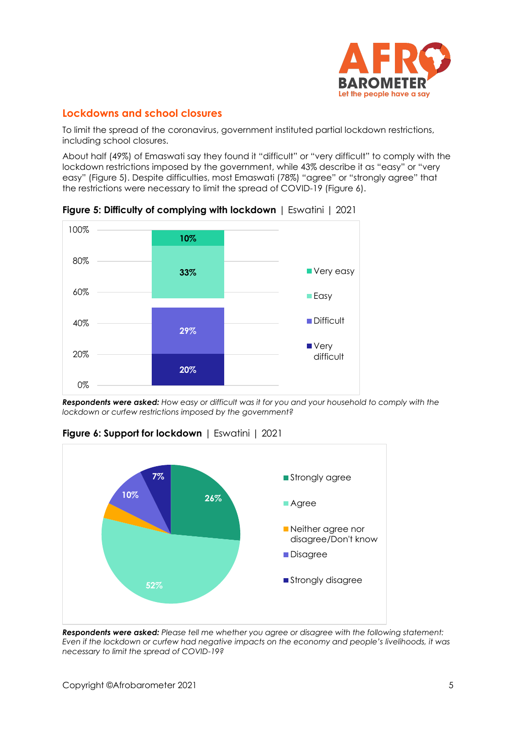

## **Lockdowns and school closures**

To limit the spread of the coronavirus, government instituted partial lockdown restrictions, including school closures.

About half (49%) of Emaswati say they found it "difficult" or "very difficult" to comply with the lockdown restrictions imposed by the government, while 43% describe it as "easy" or "very easy" (Figure 5). Despite difficulties, most Emaswati (78%) "agree" or "strongly agree" that the restrictions were necessary to limit the spread of COVID-19 (Figure 6).



**Figure 5: Difficulty of complying with lockdown** | Eswatini | 2021

*Respondents were asked: How easy or difficult was it for you and your household to comply with the lockdown or curfew restrictions imposed by the government?*



**Figure 6: Support for lockdown** | Eswatini | 2021

*Respondents were asked: Please tell me whether you agree or disagree with the following statement: Even if the lockdown or curfew had negative impacts on the economy and people's livelihoods, it was necessary to limit the spread of COVID-19?*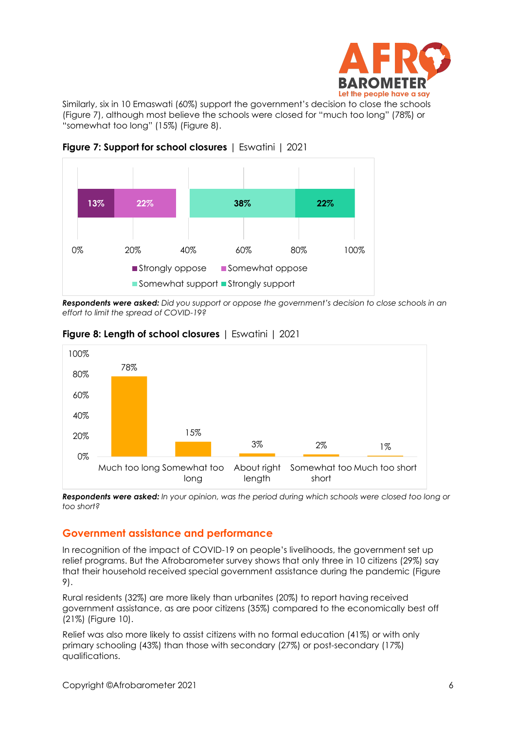

Similarly, six in 10 Emaswati (60%) support the government's decision to close the schools (Figure 7), although most believe the schools were closed for "much too long" (78%) or "somewhat too long" (15%) (Figure 8).



**Figure 7: Support for school closures** | Eswatini | 2021

*Respondents were asked: Did you support or oppose the government's decision to close schools in an effort to limit the spread of COVID-19?*



## **Figure 8: Length of school closures** | Eswatini | 2021

*Respondents were asked: In your opinion, was the period during which schools were closed too long or too short?*

## **Government assistance and performance**

In recognition of the impact of COVID-19 on people's livelihoods, the government set up relief programs. But the Afrobarometer survey shows that only three in 10 citizens (29%) say that their household received special government assistance during the pandemic (Figure 9).

Rural residents (32%) are more likely than urbanites (20%) to report having received government assistance, as are poor citizens (35%) compared to the economically best off (21%) (Figure 10).

Relief was also more likely to assist citizens with no formal education (41%) or with only primary schooling (43%) than those with secondary (27%) or post-secondary (17%) qualifications.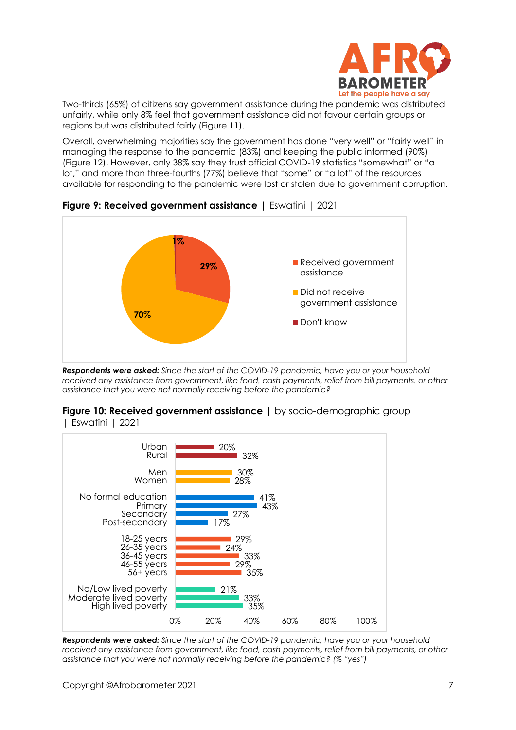

Two-thirds (65%) of citizens say government assistance during the pandemic was distributed unfairly, while only 8% feel that government assistance did not favour certain groups or regions but was distributed fairly (Figure 11).

Overall, overwhelming majorities say the government has done "very well" or "fairly well" in managing the response to the pandemic (83%) and keeping the public informed (90%) (Figure 12). However, only 38% say they trust official COVID-19 statistics "somewhat" or "a lot," and more than three-fourths (77%) believe that "some" or "a lot" of the resources available for responding to the pandemic were lost or stolen due to government corruption.



**Figure 9: Received government assistance** | Eswatini | 2021

*Respondents were asked: Since the start of the COVID-19 pandemic, have you or your household*  received any assistance from government, like food, cash payments, relief from bill payments, or other *assistance that you were not normally receiving before the pandemic?*



#### **Figure 10: Received government assistance** | by socio-demographic group | Eswatini | 2021

*Respondents were asked: Since the start of the COVID-19 pandemic, have you or your household received any assistance from government, like food, cash payments, relief from bill payments, or other assistance that you were not normally receiving before the pandemic? (% "yes")*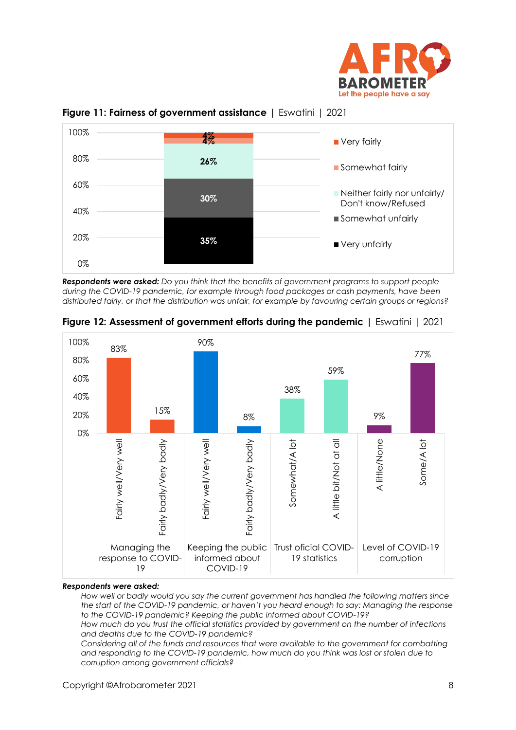





*Respondents were asked: Do you think that the benefits of government programs to support people during the COVID-19 pandemic, for example through food packages or cash payments, have been distributed fairly, or that the distribution was unfair, for example by favouring certain groups or regions?*



**Figure 12: Assessment of government efforts during the pandemic** | Eswatini | 2021

#### *Respondents were asked:*

*How well or badly would you say the current government has handled the following matters since the start of the COVID-19 pandemic, or haven't you heard enough to say: Managing the response to the COVID-19 pandemic? Keeping the public informed about COVID-19?*

*How much do you trust the official statistics provided by government on the number of infections and deaths due to the COVID-19 pandemic?*

*Considering all of the funds and resources that were available to the government for combatting and responding to the COVID-19 pandemic, how much do you think was lost or stolen due to corruption among government officials?*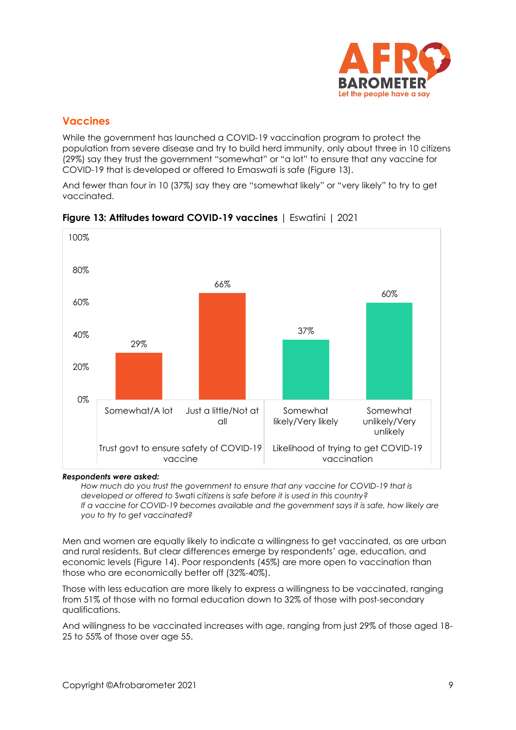

## **Vaccines**

While the government has launched a COVID-19 vaccination program to protect the population from severe disease and try to build herd immunity, only about three in 10 citizens (29%) say they trust the government "somewhat" or "a lot" to ensure that any vaccine for COVID-19 that is developed or offered to Emaswati is safe (Figure 13).

And fewer than four in 10 (37%) say they are "somewhat likely" or "very likely" to try to get vaccinated.



**Figure 13: Attitudes toward COVID-19 vaccines** | Eswatini | 2021

#### *Respondents were asked:*

*How much do you trust the government to ensure that any vaccine for COVID-19 that is developed or offered to* Swati *citizens is safe before it is used in this country? If a vaccine for COVID-19 becomes available and the government says it is safe, how likely are you to try to get vaccinated?*

Men and women are equally likely to indicate a willingness to get vaccinated, as are urban and rural residents. But clear differences emerge by respondents' age, education, and economic levels (Figure 14). Poor respondents (45%) are more open to vaccination than those who are economically better off (32%-40%).

Those with less education are more likely to express a willingness to be vaccinated, ranging from 51% of those with no formal education down to 32% of those with post-secondary qualifications.

And willingness to be vaccinated increases with age, ranging from just 29% of those aged 18- 25 to 55% of those over age 55.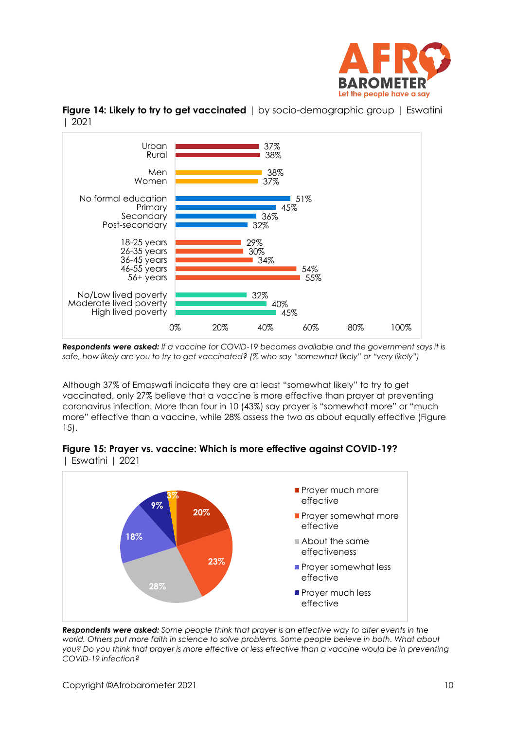



**Figure 14: Likely to try to get vaccinated** I by socio-demographic group I Eswatini | 2021

*Respondents were asked: If a vaccine for COVID-19 becomes available and the government says it is safe, how likely are you to try to get vaccinated? (% who say "somewhat likely" or "very likely")*

Although 37% of Emaswati indicate they are at least "somewhat likely" to try to get vaccinated, only 27% believe that a vaccine is more effective than prayer at preventing coronavirus infection. More than four in 10 (43%) say prayer is "somewhat more" or "much more" effective than a vaccine, while 28% assess the two as about equally effective (Figure 15).





*Respondents were asked: Some people think that prayer is an effective way to alter events in the world. Others put more faith in science to solve problems. Some people believe in both. What about you? Do you think that prayer is more effective or less effective than a vaccine would be in preventing COVID-19 infection?*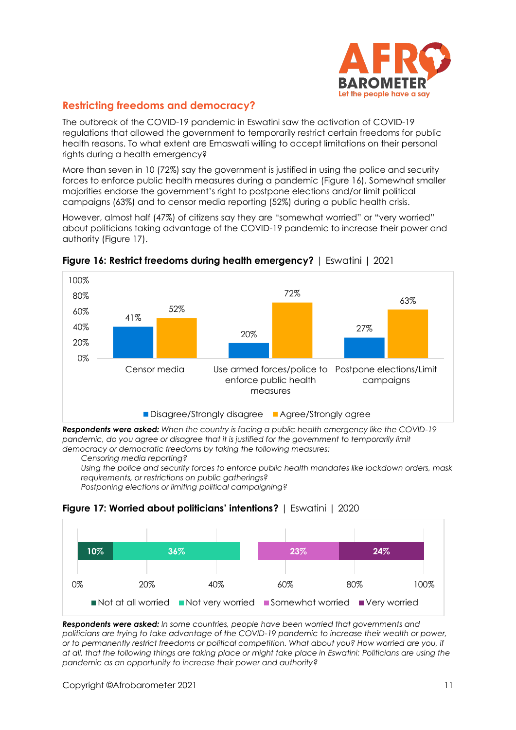

# **Restricting freedoms and democracy?**

The outbreak of the COVID-19 pandemic in Eswatini saw the activation of COVID-19 regulations that allowed the government to temporarily restrict certain freedoms for public health reasons. To what extent are Emaswati willing to accept limitations on their personal rights during a health emergency?

More than seven in 10 (72%) say the government is justified in using the police and security forces to enforce public health measures during a pandemic (Figure 16). Somewhat smaller majorities endorse the government's right to postpone elections and/or limit political campaigns (63%) and to censor media reporting (52%) during a public health crisis.

However, almost half (47%) of citizens say they are "somewhat worried" or "very worried" about politicians taking advantage of the COVID-19 pandemic to increase their power and authority (Figure 17).



**Figure 16: Restrict freedoms during health emergency?** | Eswatini | 2021

*Respondents were asked: When the country is facing a public health emergency like the COVID-19*  pandemic, do you agree or disagree that it is justified for the government to temporarily limit *democracy or democratic freedoms by taking the following measures:*

*Censoring media reporting?*

*Using the police and security forces to enforce public health mandates like lockdown orders, mask requirements, or restrictions on public gatherings?*

*Postponing elections or limiting political campaigning?*





*Respondents were asked: In some countries, people have been worried that governments and politicians are trying to take advantage of the COVID-19 pandemic to increase their wealth or power, or to permanently restrict freedoms or political competition. What about you? How worried are you, if at all, that the following things are taking place or might take place in Eswatini: Politicians are using the pandemic as an opportunity to increase their power and authority?*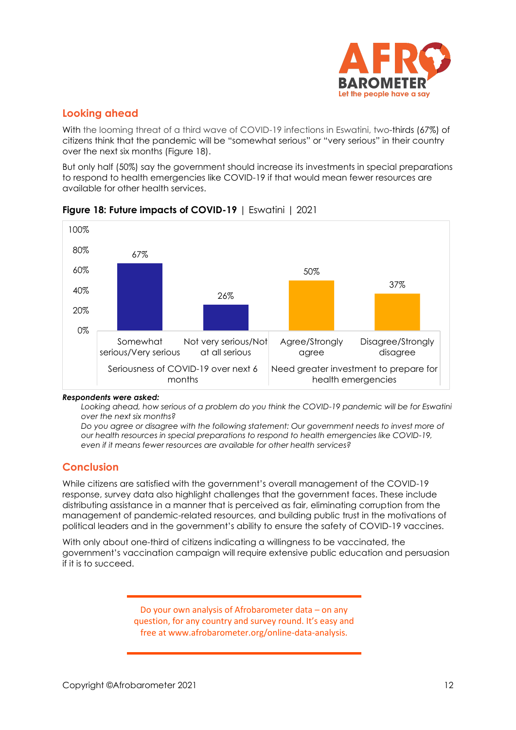

## **Looking ahead**

With the looming threat of a third wave of COVID-19 infections in Eswatini, two-thirds (67%) of citizens think that the pandemic will be "somewhat serious" or "very serious" in their country over the next six months (Figure 18).

But only half (50%) say the government should increase its investments in special preparations to respond to health emergencies like COVID-19 if that would mean fewer resources are available for other health services.



## **Figure 18: Future impacts of COVID-19** | Eswatini | 2021

#### *Respondents were asked:*

*Looking ahead, how serious of a problem do you think the COVID-19 pandemic will be for Eswatini over the next six months?*

*Do you agree or disagree with the following statement: Our government needs to invest more of our health resources in special preparations to respond to health emergencies like COVID-19, even if it means fewer resources are available for other health services?*

## **Conclusion**

While citizens are satisfied with the government's overall management of the COVID-19 response, survey data also highlight challenges that the government faces. These include distributing assistance in a manner that is perceived as fair, eliminating corruption from the management of pandemic-related resources, and building public trust in the motivations of political leaders and in the government's ability to ensure the safety of COVID-19 vaccines.

With only about one-third of citizens indicating a willingness to be vaccinated, the government's vaccination campaign will require extensive public education and persuasion if it is to succeed.

> Do your own analysis of Afrobarometer data – on any question, for any country and survey round. It's easy and free at www.afrobarometer.org/online-data-analysis.